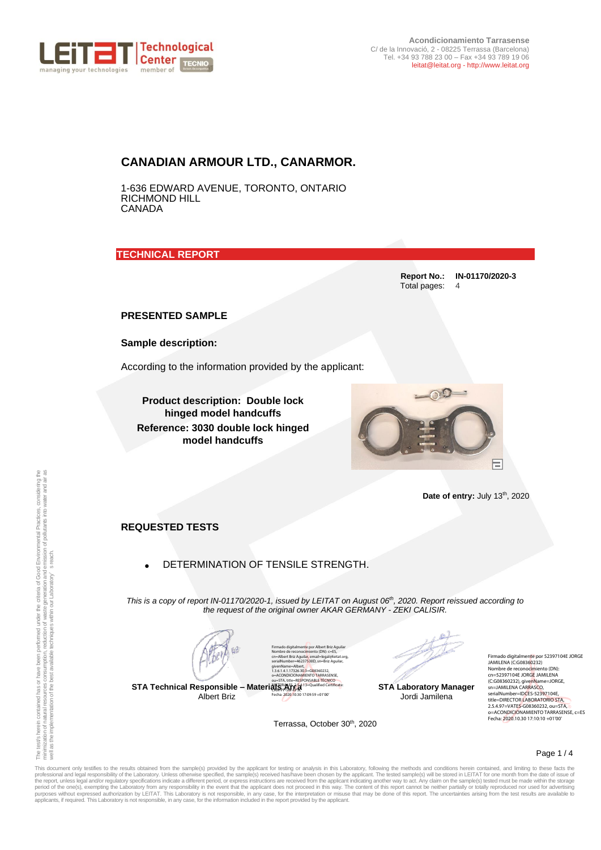

**Acondicionamiento Tarrasense** C/ de la Innovació, 2 - 08225 Terrassa (Barcelona) Tel. +34 93 788 23 00 – Fax +34 93 789 19 06 leitat@leitat.org - http://www.leitat.org

### **CANADIAN ARMOUR LTD., CANARMOR.**

1-636 EDWARD AVENUE, TORONTO, ONTARIO RICHMOND HILL CANADA

**TECHNICAL REPORT** 

**Report No.: IN-01170/2020-3** Total pages: 4

#### **PRESENTED SAMPLE**

**Sample description:**

According to the information provided by the applicant:

**Product description: Double lock hinged model handcuffs Reference: 3030 double lock hinged model handcuffs**



Date of entry: July 13<sup>th</sup>, 2020

#### **REQUESTED TESTS**

• DETERMINATION OF TENSILE STRENGTH.

*This is a copy of report IN-01170/2020-1, issued by LEITAT on August 06 th , 2020. Report reissued according to the request of the original owner AKAR GERMANY - ZEKI CALISIR.*

**STA Technical Responsible – Materials Area** CAM-PF-SW-KPSC Albert Briz

Firmado digitalmente por Albert Briz Aguilar<br>Nombre de reconocimiento (DN): c=ES,<br>cn=Albert Briz Aguilar<mark>,</mark> email=legal@leitat.org,<br>serialNumber=46237530D, sn=Briz Aguilar, givenName=Albert, 1.3.6.1.4.1.17326.30.3=G08360232, o=ACONDICIONAMIENTO TARRASENSE,<br>ou=STA, title=RESPONSABLE TÉCNICO<br>MATERIALES, 2.5.4.13=Qualified Certificate: Fecha: 2020.10.30 17:09:59 +01'00'

**STA Laboratory Manager** Jordi Jamilena

Firmado digitalmente por 52397104E JORGE<br>JAMILENA (C:G08360232)<br>Nombre de reconocimiento (DN):<br>cn=52397104E JORGE JAMILENA (C:G08360232), givenName=JORGE,<br>sn=JAMILENA CARRASCO,<br>serialNumber=IDCES-52397104E,<br>title=DIRECTOR LABORATORIO STA,<br>2.5.4.97=VATES-G08360232, ou=STA,<br>o=ACONDICIONAMIENTO TARRASENSE, c=ES Fecha: 2020.10.30 17:10:10 +01'00'

Terrassa, October 30<sup>th</sup>, 2020

Page 1 / 4

This document only testifies to the results obtained from the sample(s) provided by the applicant for testing or analysis in this Laboratory, following the methods and conditions herein contained, and limiting to these fac **Date of entry:** July 19", 2020<br> **REQUESTED TESTS**<br> **REQUESTED TESTS**<br> **BETERMINATION OF TENSILE STRENGTH.**<br>
This is a copy of meposition of the original owner AKAR GEWANY - ZEN CALISIR.<br>
This is a copy of meposition of t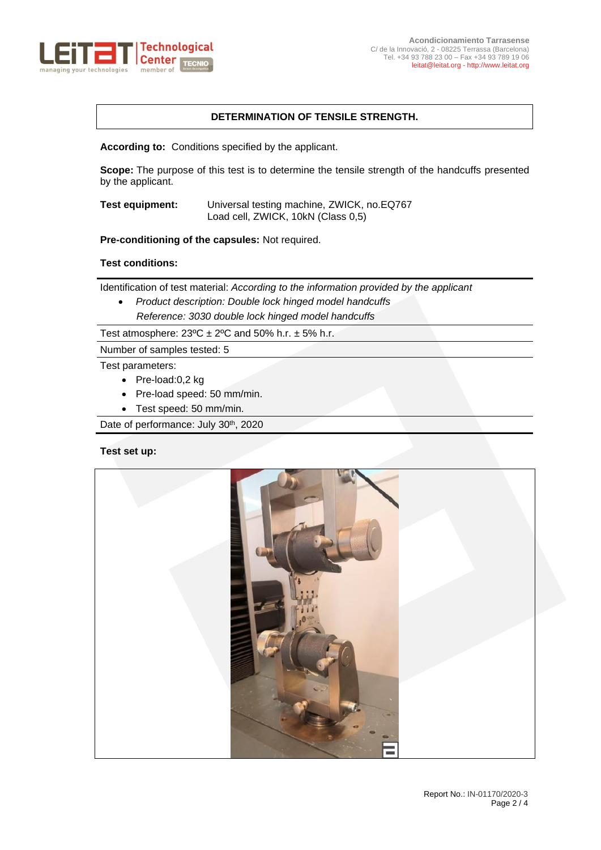

# **DETERMINATION OF TENSILE STRENGTH.**

**According to:** Conditions specified by the applicant.

**Scope:** The purpose of this test is to determine the tensile strength of the handcuffs presented by the applicant.

**Test equipment:** Universal testing machine, ZWICK, no.EQ767 Load cell, ZWICK, 10kN (Class 0,5)

**Pre-conditioning of the capsules:** Not required.

# **Test conditions:**

Identification of test material: *According to the information provided by the applicant* 

• *Product description: Double lock hinged model handcuffs Reference: 3030 double lock hinged model handcuffs*

Test atmosphere:  $23^{\circ}$ C  $\pm$  2°C and 50% h.r.  $\pm$  5% h.r.

Number of samples tested: 5

Test parameters:

- Pre-load:0,2 kg
- Pre-load speed: 50 mm/min.
- Test speed: 50 mm/min.

Date of performance: July 30<sup>th</sup>, 2020

#### **Test set up:**

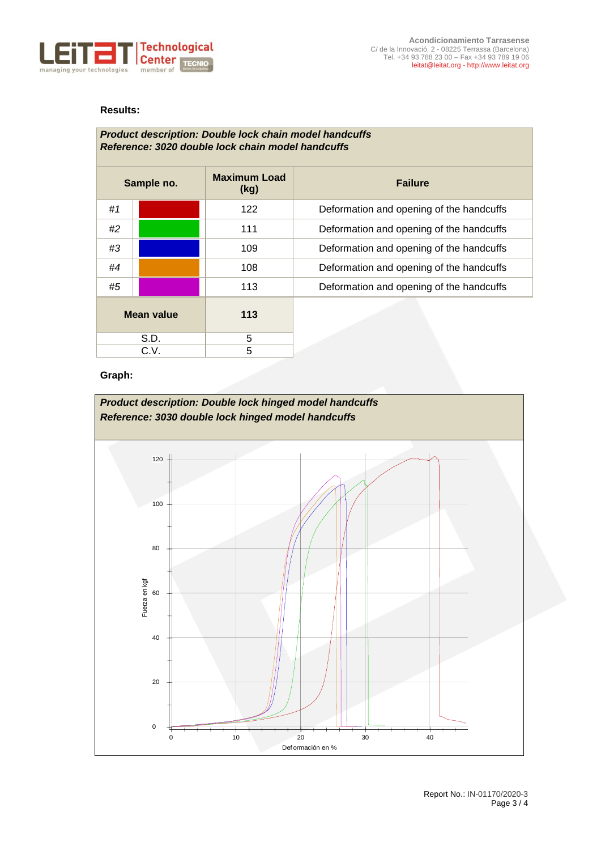

# **Results:**

## *Product description: Double lock chain model handcuffs Reference: 3020 double lock chain model handcuffs*

| Sample no.        |  | <b>Maximum Load</b><br>(kg) | <b>Failure</b>                           |
|-------------------|--|-----------------------------|------------------------------------------|
| #1                |  | 122                         | Deformation and opening of the handcuffs |
| #2                |  | 111                         | Deformation and opening of the handcuffs |
| #3                |  | 109                         | Deformation and opening of the handcuffs |
| #4                |  | 108                         | Deformation and opening of the handcuffs |
| #5                |  | 113                         | Deformation and opening of the handcuffs |
| <b>Mean value</b> |  | 113                         |                                          |
| S.D.              |  | 5                           |                                          |
| C.V.              |  | 5                           |                                          |

### **Graph:**